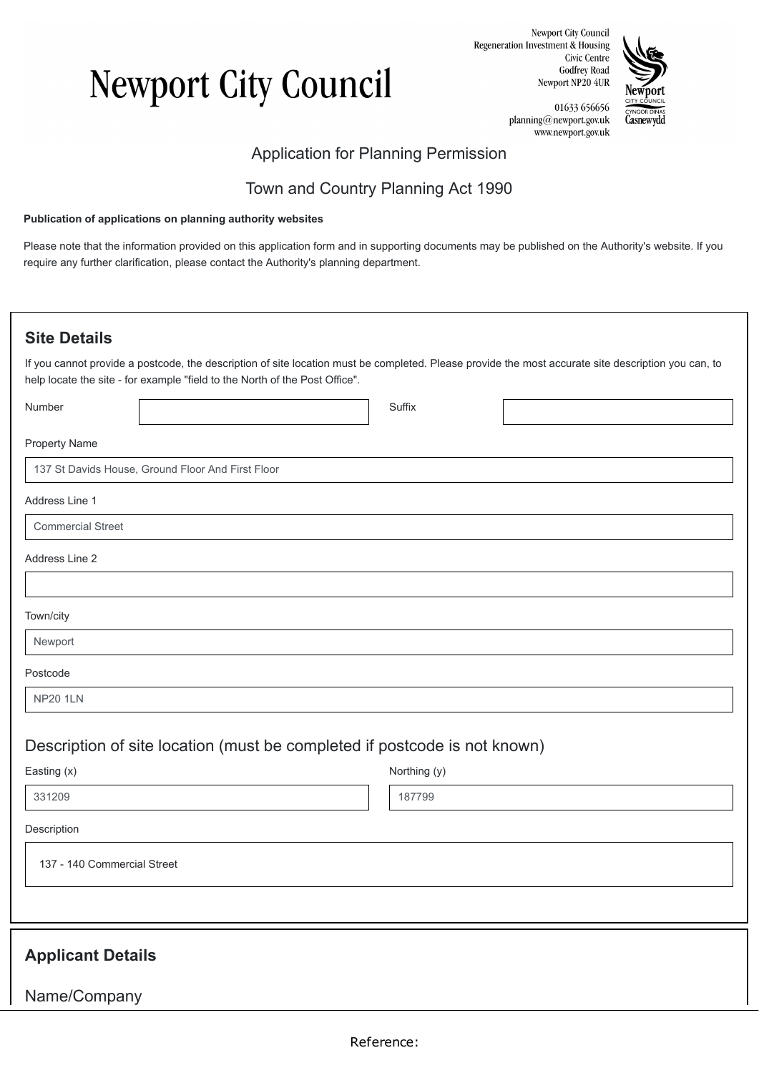# **Newport City Council**

Newport City Council Regeneration Investment & Housing Civic Centre **Godfrey Road** Newport NP20 4UR



01633 656656 planning@newport.gov.uk www.newport.gov.uk

### Application for Planning Permission

### Town and Country Planning Act 1990

#### **Publication of applications on planning authority websites**

Please note that the information provided on this application form and in supporting documents may be published on the Authority's website. If you require any further clarification, please contact the Authority's planning department.

### **Site Details**

If you cannot provide a postcode, the description of site location must be completed. Please provide the most accurate site description you can, to help locate the site - for example "field to the North of the Post Office".

| Number                      |                                                                           | Suffix       |  |
|-----------------------------|---------------------------------------------------------------------------|--------------|--|
| Property Name               |                                                                           |              |  |
|                             | 137 St Davids House, Ground Floor And First Floor                         |              |  |
| Address Line 1              |                                                                           |              |  |
| <b>Commercial Street</b>    |                                                                           |              |  |
| Address Line 2              |                                                                           |              |  |
|                             |                                                                           |              |  |
| Town/city                   |                                                                           |              |  |
| Newport                     |                                                                           |              |  |
| Postcode                    |                                                                           |              |  |
| <b>NP20 1LN</b>             |                                                                           |              |  |
|                             |                                                                           |              |  |
| Easting (x)                 | Description of site location (must be completed if postcode is not known) | Northing (y) |  |
| 331209                      |                                                                           | 187799       |  |
| Description                 |                                                                           |              |  |
| 137 - 140 Commercial Street |                                                                           |              |  |
|                             |                                                                           |              |  |
| <b>Applicant Details</b>    |                                                                           |              |  |
| Name/Company                |                                                                           |              |  |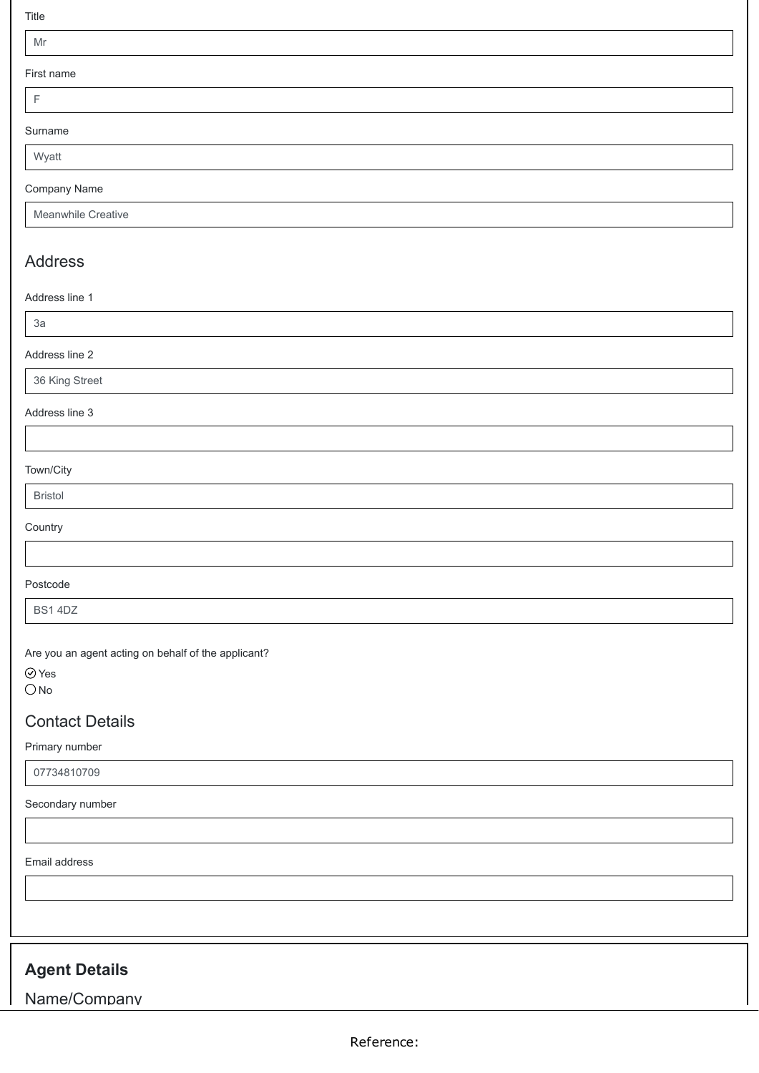Title

#### Mr

First

| First name |  |
|------------|--|
|            |  |
| Surname    |  |
| Wyatt      |  |

#### Company Name

### Address

Address line 1

3a

#### Address line 2

36 King Street

#### Address line 3

#### Town/City

Bristol

#### **Country**

### Postcode

BS1 4DZ

Are you an agent acting on behalf of the applicant?

Yes

 $O$  No

### Contact Details

#### Primary number

07734810709

#### Secondary number

Email address

### **Agent Details**

Name/Company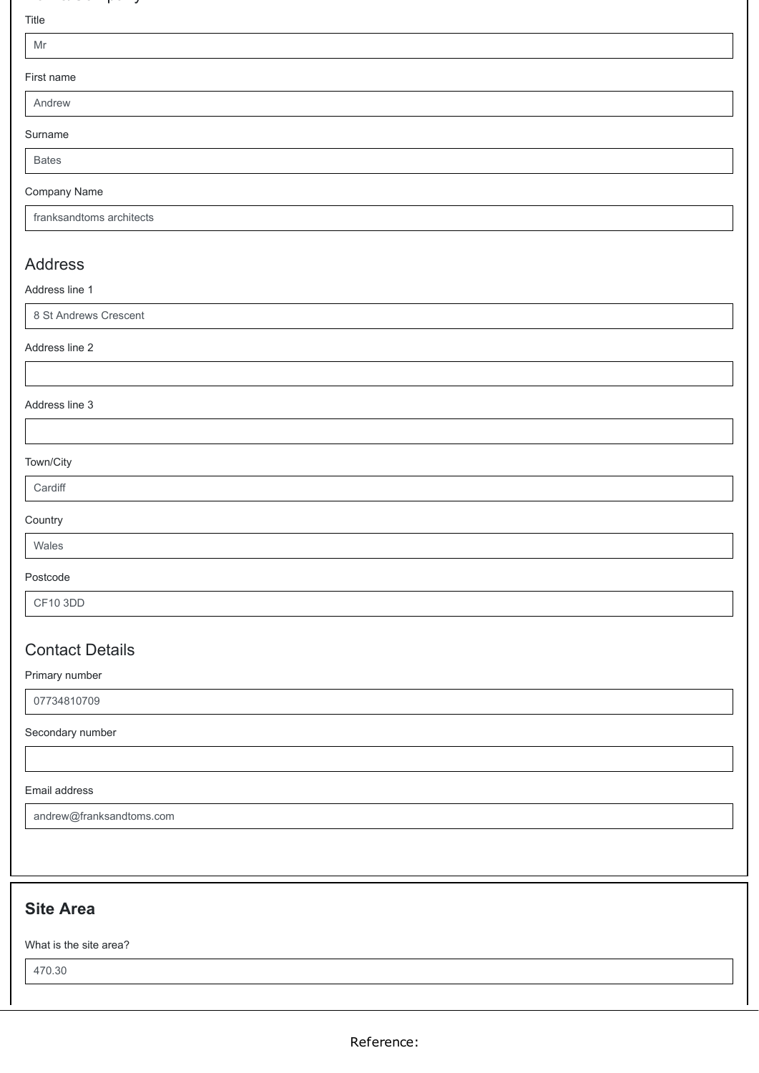### a e/co pa y

#### Title

#### First name

Surname

Bates

#### Company Name

franksandtoms architects

### Address

Address line 1

8 St Andrews Crescent

Address line 2

Address line 3

#### Town/City

**Country** 

### Wales Postcode

CF10 3DD

### Contact Details

Primary number

07734810709

Secondary number

#### Email address

andrew@franksandtoms.com

### **Site Area**

What is the site area?

470.30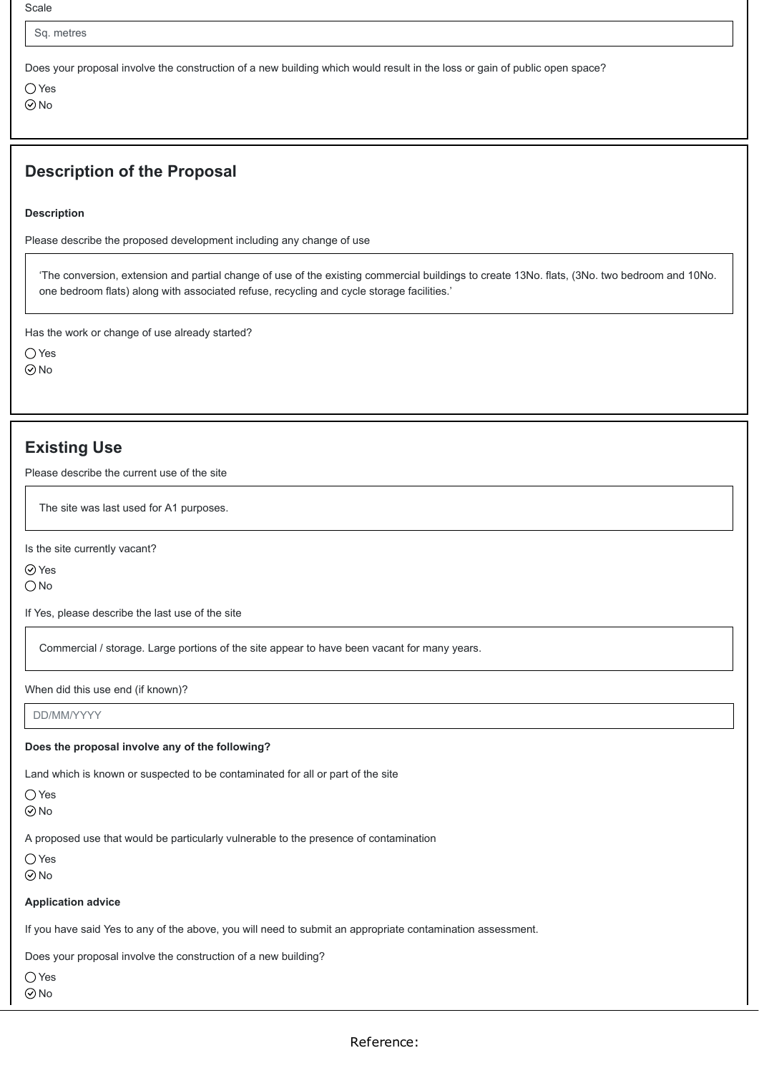Scale

Sq. metres

Does your proposal involve the construction of a new building which would result in the loss or gain of public open space?

○ Yes ⊘<sub>No</sub>

### **Description of the Proposal**

**Description**

Please describe the proposed development including any change of use

'The conversion, extension and partial change of use of the existing commercial buildings to create 13No. flats, (3No. two bedroom and 10No. one bedroom flats) along with associated refuse, recycling and cycle storage facilities.'

Has the work or change of use already started?

○ Yes

⊘<sub>No</sub>

### **Existing Use**

Please describe the current use of the site

The site was last used for A1 purposes.

Is the site currently vacant?

Yes

 $\bigcirc$  No

If Yes, please describe the last use of the site

Commercial / storage. Large portions of the site appear to have been vacant for many years.

When did this use end (if known)?

DD/MM/YYYY

#### **Does the proposal involve any of the following?**

Land which is known or suspected to be contaminated for all or part of the site

 $\bigcap$  Yes

No

A proposed use that would be particularly vulnerable to the presence of contamination

 $\bigcap$  Yes  $\odot$ No

**Application advice**

If you have said Yes to any of the above, you will need to submit an appropriate contamination assessment.

Does your proposal involve the construction of a new building?

○Yes

No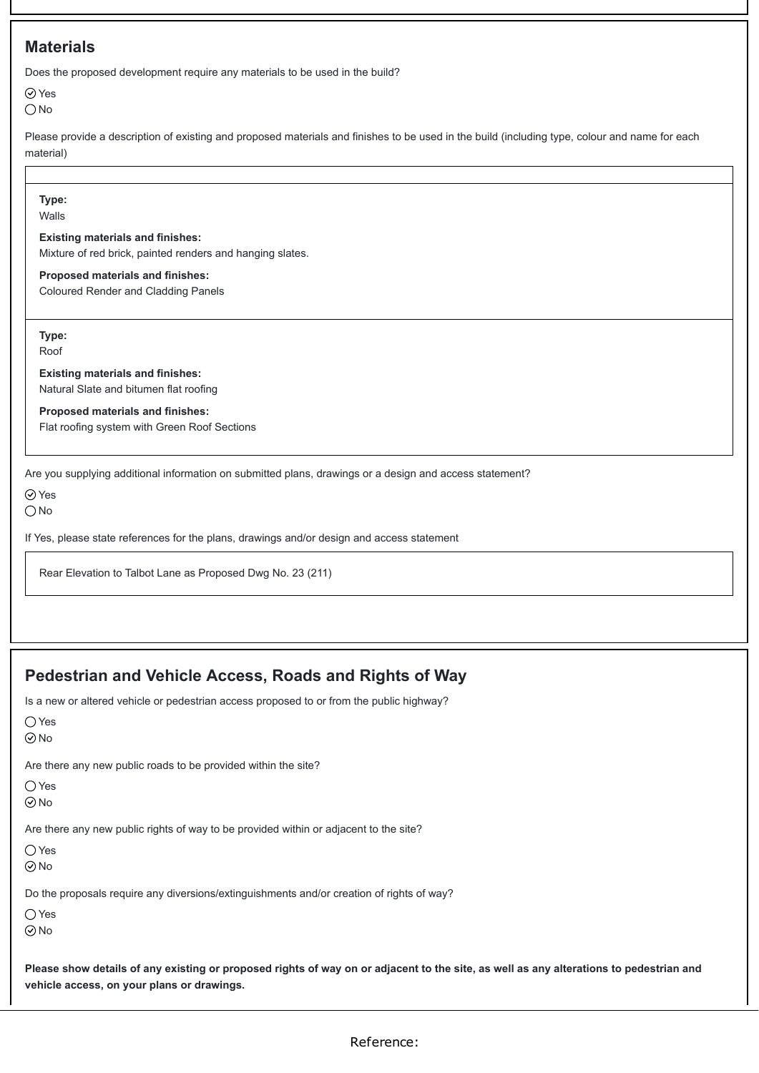### **Materials**

Does the proposed development require any materials to be used in the build?

Yes

 $\bigcirc$  No

Please provide a description of existing and proposed materials and finishes to be used in the build (including type, colour and name for each material)

**Type:** Walls **Existing materials and finishes:**

Mixture of red brick, painted renders and hanging slates.

**Proposed materials and finishes:** Coloured Render and Cladding Panels

**Type:**

Roof

**Existing materials and finishes:**

Natural Slate and bitumen flat roofing

#### **Proposed materials and finishes:**

Flat roofing system with Green Roof Sections

Are you supplying additional information on submitted plans, drawings or a design and access statement?

⊘ Yes

 $\bigcirc$  No

If Yes, please state references for the plans, drawings and/or design and access statement

Rear Elevation to Talbot Lane as Proposed Dwg No. 23 (211)

### **Pedestrian and Vehicle Access, Roads and Rights of Way**

Is a new or altered vehicle or pedestrian access proposed to or from the public highway?

| Yes                                                                                        |
|--------------------------------------------------------------------------------------------|
| $\odot$ No                                                                                 |
| Are there any new public roads to be provided within the site?                             |
| ( )Yes                                                                                     |
| $\odot$ No                                                                                 |
| Are there any new public rights of way to be provided within or adjacent to the site?      |
| () Yes                                                                                     |
| $\odot$ No                                                                                 |
| Do the proposals require any diversions/extinguishments and/or creation of rights of way?  |
| ()Yes                                                                                      |
| $\odot$ No                                                                                 |
|                                                                                            |
| <b>Please show details of any existing or proposed rights of way on or adjacent to the</b> |

**Please show details of any existing or proposed rights of way on or adjacent to the site, as well as any alterations to pedestrian and vehicle access, on your plans or drawings.**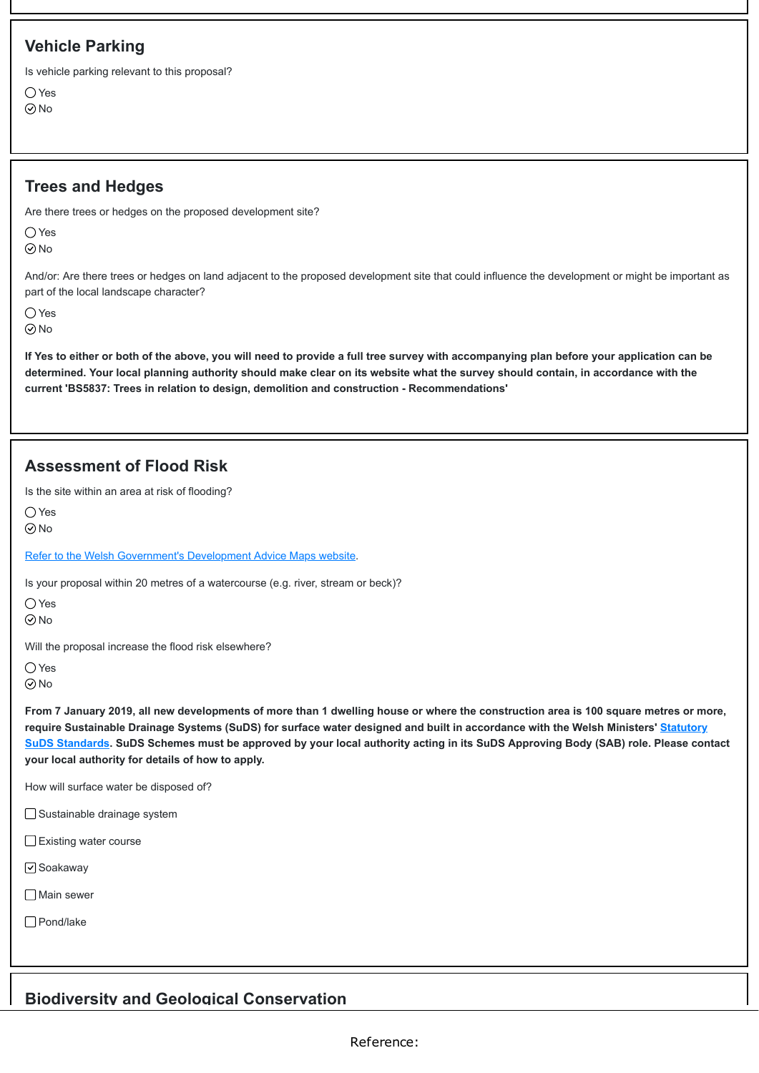### **Vehicle Parking**

Is vehicle parking relevant to this proposal?

 $\bigcirc$  Yes **⊘No** 

### **Trees and Hedges**

Are there trees or hedges on the proposed development site?

 $\bigcap$  Yes

**⊘No** 

And/or: Are there trees or hedges on land adjacent to the proposed development site that could influence the development or might be important as part of the local landscape character?

 $\bigcap$  Yes

No

**If Yes to either or both of the above, you will need to provide a full tree survey with accompanying plan before your application can be determined. Your local planning authority should make clear on its website what the survey should contain, in accordance with the current 'BS5837: Trees in relation to design, demolition and construction - Recommendations'**

### **Assessment of Flood Risk**

Is the site within an area at risk of flooding?

 $\bigcap$  Yes

 $\odot$ No

[Refer to the Welsh Government's Development Advice Maps website](https://naturalresources.wales/floodriskmap?lang=en).

Is your proposal within 20 metres of a watercourse (e.g. river, stream or beck)?

○ Yes

 $\odot$ No

Will the proposal increase the flood risk elsewhere?

 $\bigcirc$  Yes

 $\odot$  No

**From 7 January 2019, all new developments of more than 1 dwelling house or where the construction area is 100 square metres or more, [require Sustainable Drainage Systems \(SuDS\) for surface water designed and built in accordance with the Welsh Ministers' Statutory](https://gov.wales/topics/environmentcountryside/epq/flooding/drainage/?lang=en) SuDS Standards. SuDS Schemes must be approved by your local authority acting in its SuDS Approving Body (SAB) role. Please contact your local authority for details of how to apply.**

How will surface water be disposed of?

□ Sustainable drainage system

Existing water course

□ Soakaway

**□** Main sewer

Pond/lake

### **Biodiversity and Geological Conservation**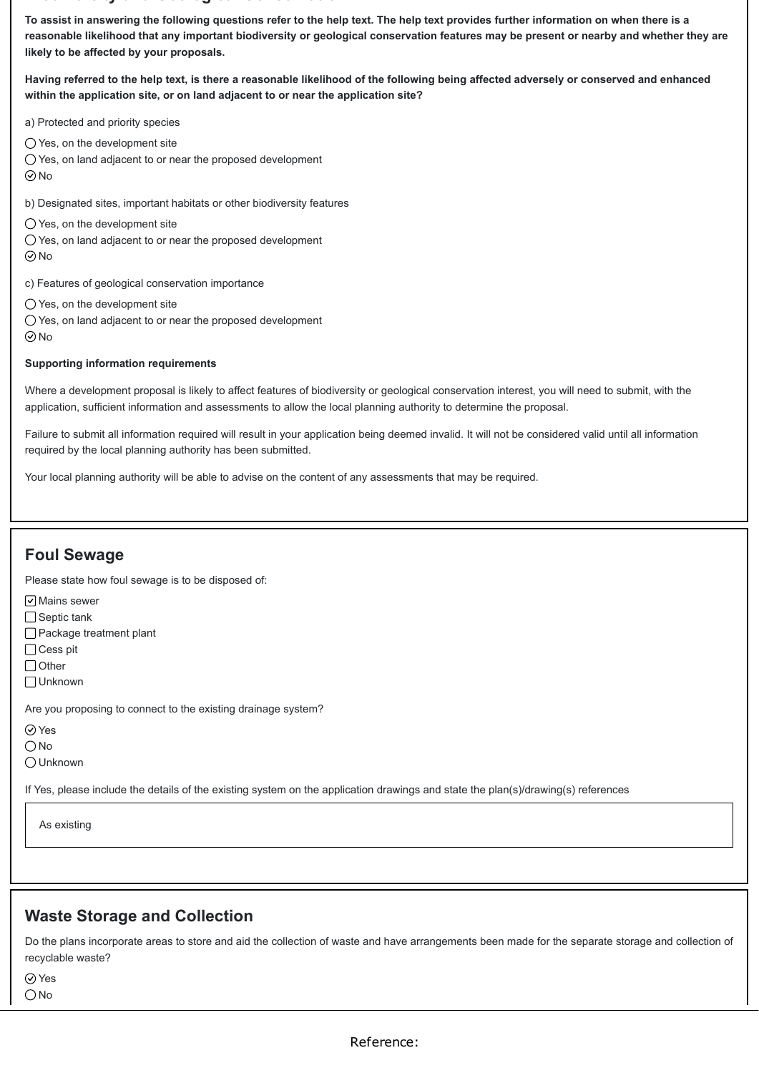#### **od e s ty a d Geo og ca Co se at o**

**To assist in answering the following questions refer to the help text. The help text provides further information on when there is a reasonable likelihood that any important biodiversity or geological conservation features may be present or nearby and whether they are likely to be affected by your proposals.**

**Having referred to the help text, is there a reasonable likelihood of the following being affected adversely or conserved and enhanced within the application site, or on land adjacent to or near the application site?**

a) Protected and priority species

 $\bigcirc$  Yes, on the development site

Yes, on land adjacent to or near the proposed development

No

b) Designated sites, important habitats or other biodiversity features

 $\bigcirc$  Yes, on the development site

 $\bigcirc$  Yes, on land adjacent to or near the proposed development

 $\odot$ No

c) Features of geological conservation importance

 $\bigcirc$  Yes, on the development site

Yes, on land adjacent to or near the proposed development  $\odot$  No

#### **Supporting information requirements**

Where a development proposal is likely to affect features of biodiversity or geological conservation interest, you will need to submit, with the application, sufficient information and assessments to allow the local planning authority to determine the proposal.

Failure to submit all information required will result in your application being deemed invalid. It will not be considered valid until all information required by the local planning authority has been submitted.

Your local planning authority will be able to advise on the content of any assessments that may be required.

### **Foul Sewage**

Please state how foul sewage is to be disposed of:

 $\boxed{\triangledown}$  Mains sewer

□ Septic tank

Package treatment plant

□ Cess pit

 $\bigcap$  Other

Unknown

Are you proposing to connect to the existing drainage system?

Yes

O<sub>No</sub>

Unknown

If Yes, please include the details of the existing system on the application drawings and state the plan(s)/drawing(s) references

As existing

### **Waste Storage and Collection**

Do the plans incorporate areas to store and aid the collection of waste and have arrangements been made for the separate storage and collection of recyclable waste?

Yes  $\bigcirc$ No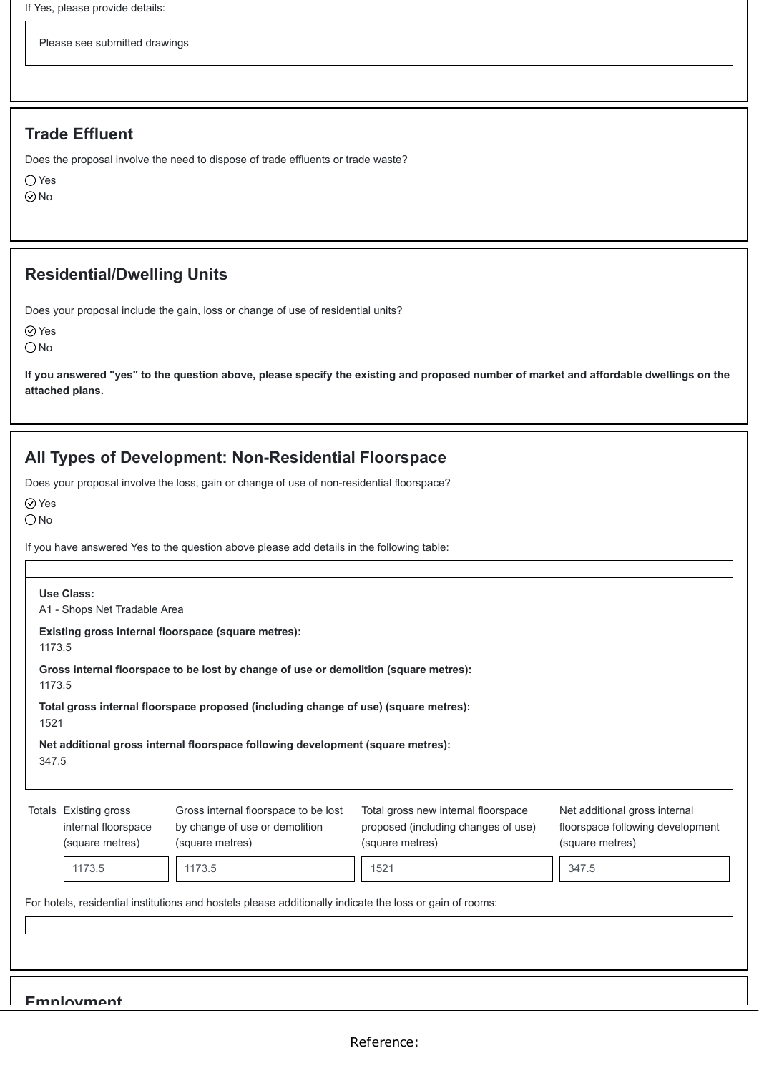Please see submitted drawings

### **Trade Effluent**

Does the proposal involve the need to dispose of trade effluents or trade waste?

Yes

 $\odot$ No

### **Residential/Dwelling Units**

Does your proposal include the gain, loss or change of use of residential units?

⊘ Yes

 $\bigcirc$  No

**If you answered "yes" to the question above, please specify the existing and proposed number of market and affordable dwellings on the attached plans.**

### **All Types of Development: Non-Residential Floorspace**

Does your proposal involve the loss, gain or change of use of non-residential floorspace?

Yes

ONo

If you have answered Yes to the question above please add details in the following table:

| Use Class:<br>A1 - Shops Net Tradable Area                                                               |                                                                 |                                                                                           |                                                                                               |                                                                                      |  |  |
|----------------------------------------------------------------------------------------------------------|-----------------------------------------------------------------|-------------------------------------------------------------------------------------------|-----------------------------------------------------------------------------------------------|--------------------------------------------------------------------------------------|--|--|
|                                                                                                          | Existing gross internal floorspace (square metres):<br>1173.5   |                                                                                           |                                                                                               |                                                                                      |  |  |
| Gross internal floorspace to be lost by change of use or demolition (square metres):<br>1173.5           |                                                                 |                                                                                           |                                                                                               |                                                                                      |  |  |
| Total gross internal floorspace proposed (including change of use) (square metres):<br>1521              |                                                                 |                                                                                           |                                                                                               |                                                                                      |  |  |
| Net additional gross internal floorspace following development (square metres):<br>347.5                 |                                                                 |                                                                                           |                                                                                               |                                                                                      |  |  |
|                                                                                                          | Totals Existing gross<br>internal floorspace<br>(square metres) | Gross internal floorspace to be lost<br>by change of use or demolition<br>(square metres) | Total gross new internal floorspace<br>proposed (including changes of use)<br>(square metres) | Net additional gross internal<br>floorspace following development<br>(square metres) |  |  |
|                                                                                                          | 1173.5                                                          | 1173.5                                                                                    | 1521                                                                                          | 347.5                                                                                |  |  |
| For hotels, residential institutions and hostels please additionally indicate the loss or gain of rooms: |                                                                 |                                                                                           |                                                                                               |                                                                                      |  |  |
| <b>Emnloyment</b>                                                                                        |                                                                 |                                                                                           |                                                                                               |                                                                                      |  |  |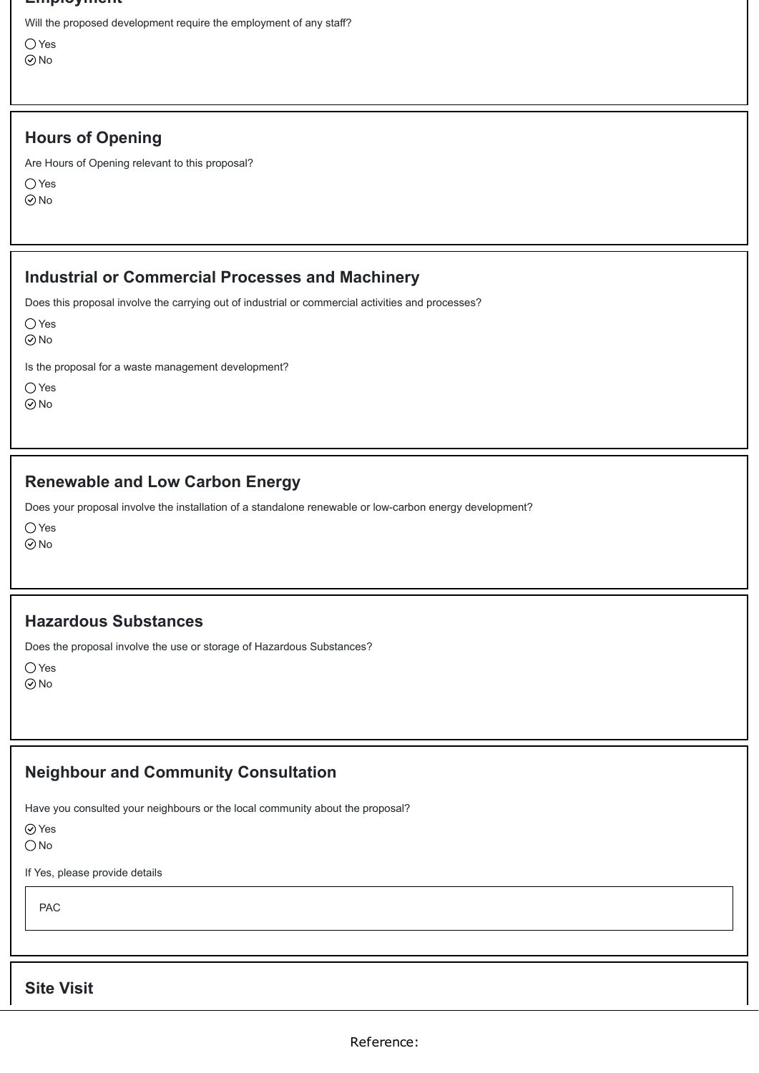#### **Employment**

Will the proposed development require the employment of any staff?

○ Yes No

### **Hours of Opening**

Are Hours of Opening relevant to this proposal?

Yes

No

### **Industrial or Commercial Processes and Machinery**

Does this proposal involve the carrying out of industrial or commercial activities and processes?

Yes

No

Is the proposal for a waste management development?

Yes

 $\odot$ No

### **Renewable and Low Carbon Energy**

Does your proposal involve the installation of a standalone renewable or low-carbon energy development?

Yes

 $\odot$ No

### **Hazardous Substances**

Does the proposal involve the use or storage of Hazardous Substances?

 $\bigcirc$  Yes No

### **Neighbour and Community Consultation**

Have you consulted your neighbours or the local community about the proposal?

Yes

O<sub>No</sub>

If Yes, please provide details

PAC

**Site Visit**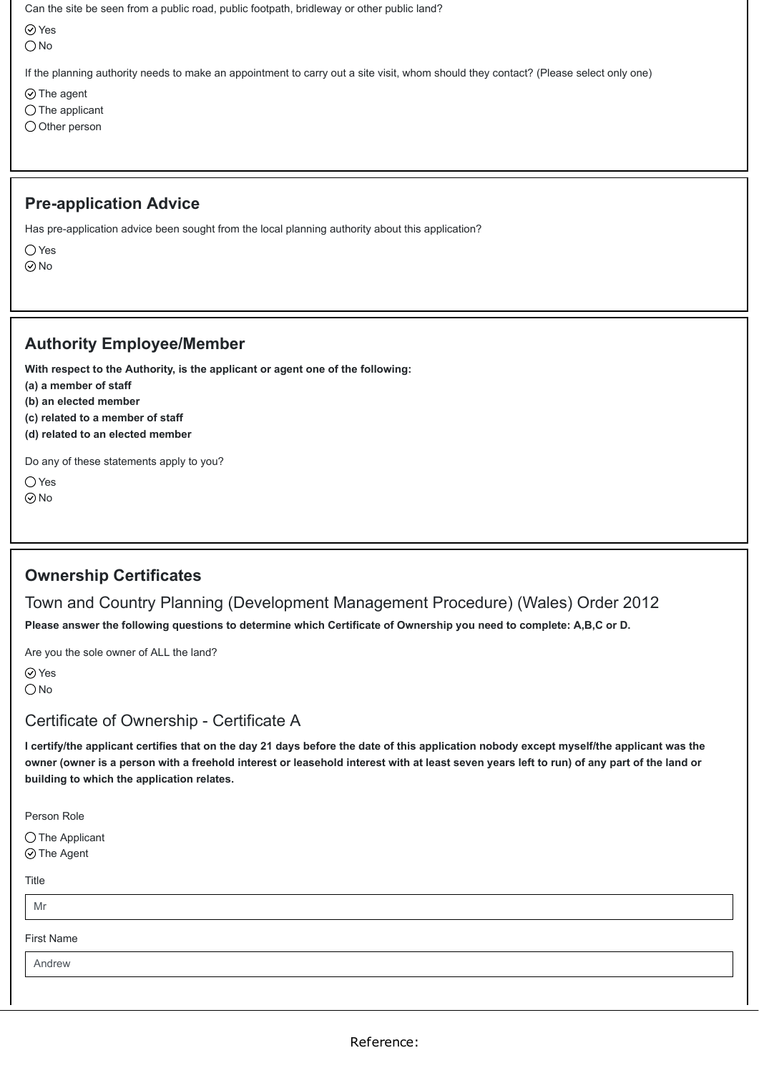Can the site be seen from a public road, public footpath, bridleway or other public land?

**⊘**Yes

 $\bigcirc$  No

If the planning authority needs to make an appointment to carry out a site visit, whom should they contact? (Please select only one)

 $\odot$  The agent

 $\bigcirc$  The applicant

 $\bigcirc$  Other person

### **Pre-application Advice**

Has pre-application advice been sought from the local planning authority about this application?

 $\bigcirc$  Yes

No

### **Authority Employee/Member**

**With respect to the Authority, is the applicant or agent one of the following:**

**(a) a member of staff**

**(b) an elected member**

**(c) related to a member of staff**

**(d) related to an elected member**

Do any of these statements apply to you?

○ Yes  $\odot$ No

### **Ownership Certificates**

Town and Country Planning (Development Management Procedure) (Wales) Order 2012 **Please answer the following questions to determine which Certificate of Ownership you need to complete: A,B,C or D.**

Are you the sole owner of ALL the land?

**⊘**Yes  $\bigcirc$  No

### Certificate of Ownership - Certificate A

**I certify/the applicant certifies that on the day 21 days before the date of this application nobody except myself/the applicant was the owner (owner is a person with a freehold interest or leasehold interest with at least seven years left to run) of any part of the land or building to which the application relates.**

Person Role

 $\bigcirc$  The Applicant ⊙ The Agent

Title

Mr

First Name

Andrew